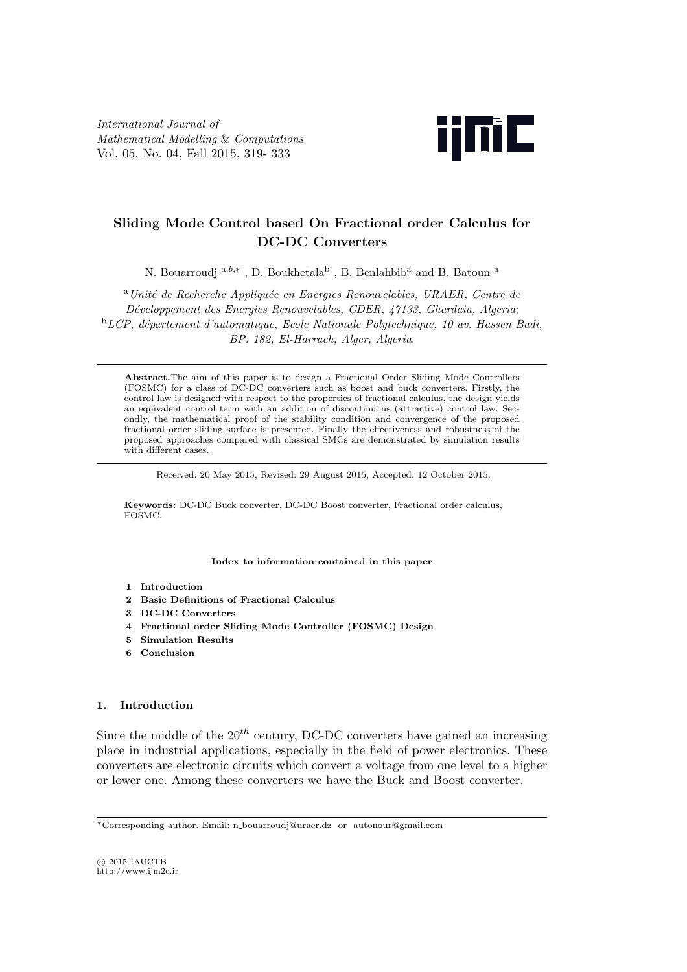*International Journal of Mathematical Modelling* & *Computations* Vol. 05, No. 04, Fall 2015, 319- 333



# **Sliding Mode Control based On Fractional order Calculus for DC-DC Converters**

N. Bouarroudj $a,b,*$ , D. Boukhetala<sup>b</sup> , B. Benlahbib<sup>a</sup> and B. Batoun $\rm ^a$ 

<sup>a</sup>*Unit´e de Recherche Appliqu´ee en Energies Renouvelables, URAER, Centre de D´eveloppement des Energies Renouvelables, CDER, 47133, Ghardaia, Algeria*; <sup>b</sup>*LCP, d´epartement d'automatique, Ecole Nationale Polytechnique, 10 av. Hassen Badi, BP. 182, El-Harrach, Alger, Algeria*.

**Abstract.**The aim of this paper is to design a Fractional Order Sliding Mode Controllers (FOSMC) for a class of DC-DC converters such as boost and buck converters. Firstly, the control law is designed with respect to the properties of fractional calculus, the design yields an equivalent control term with an addition of discontinuous (attractive) control law. Secondly, the mathematical proof of the stability condition and convergence of the proposed fractional order sliding surface is presented. Finally the effectiveness and robustness of the proposed approaches compared with classical SMCs are demonstrated by simulation results with different cases.

Received: 20 May 2015, Revised: 29 August 2015, Accepted: 12 October 2015.

**Keywords:** DC-DC Buck converter, DC-DC Boost converter, Fractional order calculus, FOSMC.

**Index to information contained in this paper**

- **1 Introduction**
- **2 Basic Definitions of Fractional Calculus**
- **3 DC-DC Converters**
- **4 Fractional order Sliding Mode Controller (FOSMC) Design**
- **5 Simulation Results**
- **6 Conclusion**

## **1. Introduction**

Since the middle of the  $20<sup>th</sup>$  century, DC-DC converters have gained an increasing place in industrial applications, especially in the field of power electronics. These converters are electronic circuits which convert a voltage from one level to a higher or lower one. Among these converters we have the Buck and Boost converter.

*⃝*c 2015 IAUCTB http://www.ijm2c.ir

*<sup>∗</sup>*Corresponding author. Email: n bouarroudj@uraer.dz or autonour@gmail.com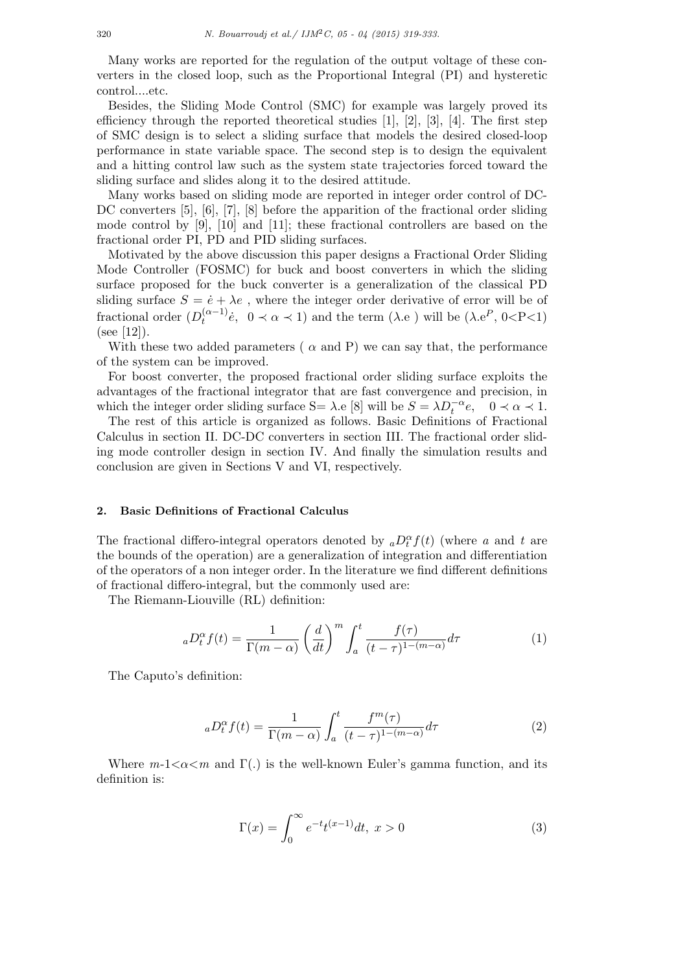Many works are reported for the regulation of the output voltage of these converters in the closed loop, such as the Proportional Integral (PI) and hysteretic control....etc.

Besides, the Sliding Mode Control (SMC) for example was largely proved its efficiency through the reported theoretical studies  $[1]$ ,  $[2]$ ,  $[3]$ ,  $[4]$ . The first step of SMC design is to select a sliding surface that models the desired closed-loop performance in state variable space. The second step is to design the equivalent and a hitting control law such as the system state trajectories forced toward the sliding surface and slides along it to the desired attitude.

Many works based on sliding mode are reported in integer order control of DC-DC converters [5], [6], [7], [8] before the apparition of the fractional order sliding mode control by [9], [10] and [11]; these fractional controllers are based on the fractional order PI, PD and PID sliding surfaces.

Motivated by the above discussion this paper designs a Fractional Order Sliding Mode Controller (FOSMC) for buck and boost converters in which the sliding surface proposed for the buck converter is a generalization of the classical PD sliding surface  $S = \dot{e} + \lambda e$ , where the integer order derivative of error will be of fractional order  $(D_t^{(\alpha-1)}\dot{e}, 0 \prec \alpha \prec 1)$  and the term  $(\lambda \cdot e)$  will be  $(\lambda \cdot e^P, 0 \prec P \prec 1)$ (see [12]).

With these two added parameters ( $\alpha$  and P) we can say that, the performance of the system can be improved.

For boost converter, the proposed fractional order sliding surface exploits the advantages of the fractional integrator that are fast convergence and precision, in which the integer order sliding surface S=  $\lambda$ .e [8] will be  $S = \lambda D_t^{-\alpha} e$ ,  $0 \prec \alpha \prec 1$ .

The rest of this article is organized as follows. Basic Definitions of Fractional Calculus in section II. DC-DC converters in section III. The fractional order sliding mode controller design in section IV. And finally the simulation results and conclusion are given in Sections V and VI, respectively.

#### **2. Basic Definitions of Fractional Calculus**

The fractional differo-integral operators denoted by  ${_aD_t^{\alpha}}f(t)$  (where *a* and *t* are the bounds of the operation) are a generalization of integration and differentiation of the operators of a non integer order. In the literature we find different definitions of fractional differo-integral, but the commonly used are:

The Riemann-Liouville (RL) definition:

$$
{}_{a}D_{t}^{\alpha}f(t) = \frac{1}{\Gamma(m-\alpha)} \left(\frac{d}{dt}\right)^{m} \int_{a}^{t} \frac{f(\tau)}{(t-\tau)^{1-(m-\alpha)}} d\tau \tag{1}
$$

The Caputo's definition:

$$
{}_{a}D_{t}^{\alpha}f(t) = \frac{1}{\Gamma(m-\alpha)} \int_{a}^{t} \frac{f^{m}(\tau)}{(t-\tau)^{1-(m-\alpha)}} d\tau
$$
\n(2)

Where  $m-1 < \alpha < m$  and  $\Gamma(.)$  is the well-known Euler's gamma function, and its definition is:

$$
\Gamma(x) = \int_0^\infty e^{-t} t^{(x-1)} dt, \ x > 0 \tag{3}
$$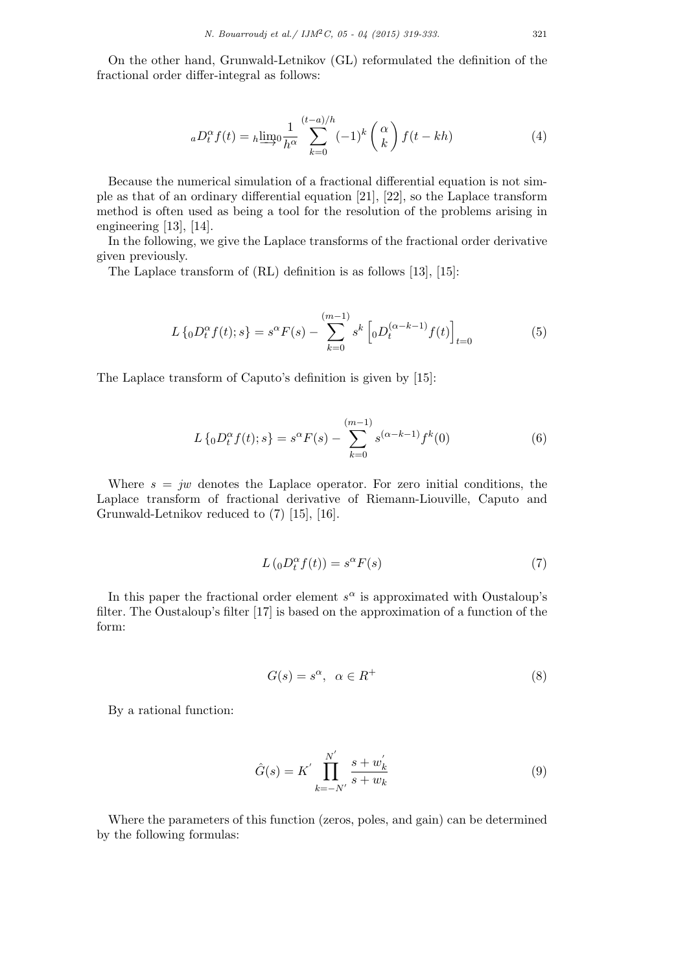On the other hand, Grunwald-Letnikov (GL) reformulated the definition of the fractional order differ-integral as follows:

$$
{}_{a}D_{t}^{\alpha}f(t) = {}_{h}\underline{\lim}_{0}\frac{1}{h^{\alpha}}\sum_{k=0}^{(t-a)/h}(-1)^{k} \binom{\alpha}{k}f(t-kh)
$$
(4)

Because the numerical simulation of a fractional differential equation is not simple as that of an ordinary differential equation [21], [22], so the Laplace transform method is often used as being a tool for the resolution of the problems arising in engineering [13], [14].

In the following, we give the Laplace transforms of the fractional order derivative given previously.

The Laplace transform of (RL) definition is as follows [13], [15]:

$$
L\left\{ {}_{0}D_{t}^{\alpha}f(t);s\right\} = s^{\alpha}F(s) - \sum_{k=0}^{(m-1)}s^{k}\left[ {}_{0}D_{t}^{(\alpha-k-1)}f(t)\right]_{t=0}
$$
(5)

The Laplace transform of Caputo's definition is given by [15]:

$$
L\left\{ {}_{0}D_{t}^{\alpha}f(t);s\right\} = s^{\alpha}F(s) - \sum_{k=0}^{(m-1)}s^{(\alpha-k-1)}f^{k}(0)
$$
\n(6)

Where  $s = jw$  denotes the Laplace operator. For zero initial conditions, the Laplace transform of fractional derivative of Riemann-Liouville, Caputo and Grunwald-Letnikov reduced to (7) [15], [16].

$$
L\left({}_{0}D_{t}^{\alpha}f(t)\right) = s^{\alpha}F(s)
$$
\n(7)

In this paper the fractional order element  $s^{\alpha}$  is approximated with Oustaloup's filter. The Oustaloup's filter [17] is based on the approximation of a function of the form:

$$
G(s) = s^{\alpha}, \ \alpha \in R^{+}
$$
 (8)

By a rational function:

$$
\hat{G}(s) = K' \prod_{k=-N'}^{N'} \frac{s+w'_k}{s+w_k} \tag{9}
$$

Where the parameters of this function (zeros, poles, and gain) can be determined by the following formulas: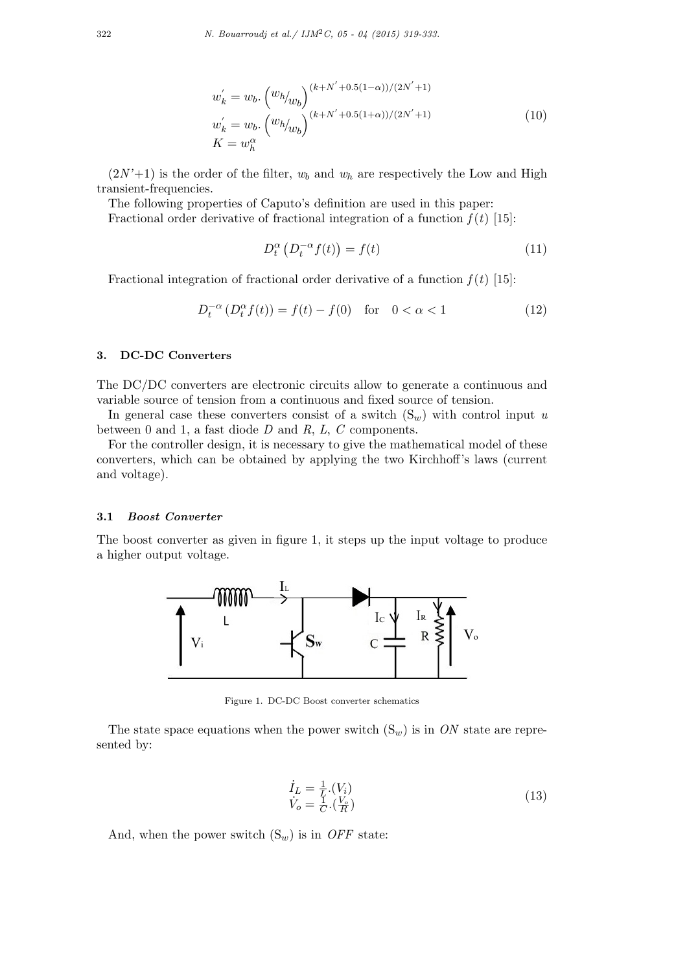$$
w'_{k} = w_{b} \cdot \left(\frac{w_{h}}{w_{b}}\right)^{(k+N'+0.5(1-\alpha))/(2N'+1)} \n w'_{k} = w_{b} \cdot \left(\frac{w_{h}}{w_{b}}\right)^{(k+N'+0.5(1+\alpha))/(2N'+1)} \n K = w_{h}^{\alpha}
$$
\n(10)

 $(2N'+1)$  is the order of the filter,  $w_b$  and  $w_h$  are respectively the Low and High transient-frequencies.

The following properties of Caputo's definition are used in this paper:

Fractional order derivative of fractional integration of a function  $f(t)$  [15]:

$$
D_t^{\alpha} \left( D_t^{-\alpha} f(t) \right) = f(t) \tag{11}
$$

Fractional integration of fractional order derivative of a function  $f(t)$  [15]:

$$
D_t^{-\alpha} \left( D_t^{\alpha} f(t) \right) = f(t) - f(0) \quad \text{for} \quad 0 < \alpha < 1 \tag{12}
$$

### **3. DC-DC Converters**

The DC/DC converters are electronic circuits allow to generate a continuous and variable source of tension from a continuous and fixed source of tension.

In general case these converters consist of a switch  $(S_w)$  with control input *u* between 0 and 1, a fast diode *D* and *R*, *L*, *C* components.

For the controller design, it is necessary to give the mathematical model of these converters, which can be obtained by applying the two Kirchhoff's laws (current and voltage).

#### **3.1** *Boost Converter*

The boost converter as given in figure 1, it steps up the input voltage to produce a higher output voltage.



Figure 1. DC-DC Boost converter schematics

The state space equations when the power switch  $(S_w)$  is in *ON* state are represented by:

$$
\begin{array}{l}\n\dot{I}_L = \frac{1}{L} \cdot (V_i) \\
\dot{V}_o = \frac{1}{C} \cdot (\frac{V_o}{R})\n\end{array} \tag{13}
$$

And, when the power switch  $(S_w)$  is in *OFF* state: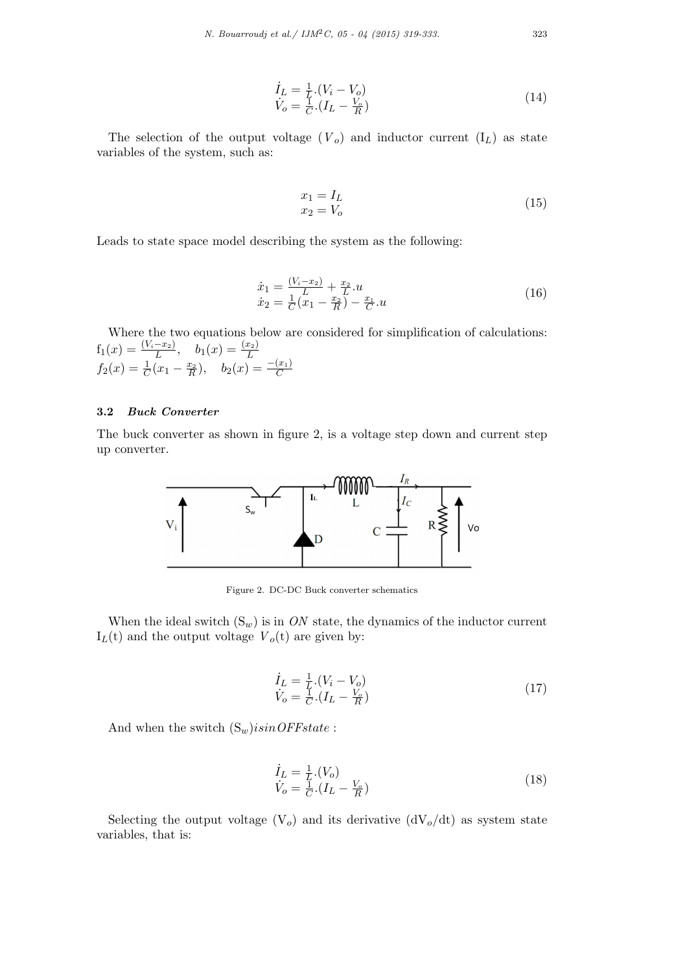$$
\begin{array}{l}\n\dot{I}_L = \frac{1}{L} \cdot (V_i - V_o) \\
\dot{V}_o = \frac{1}{C} \cdot (I_L - \frac{V_o}{R})\n\end{array} \tag{14}
$$

The selection of the output voltage  $(V_o)$  and inductor current  $(I_L)$  as state variables of the system, such as:

$$
\begin{aligned}\nx_1 &= I_L\\
x_2 &= V_o\n\end{aligned} \tag{15}
$$

Leads to state space model describing the system as the following:

$$
\begin{array}{l}\n\dot{x}_1 = \frac{(V_i - x_2)}{L} + \frac{x_2}{L} .u \\
\dot{x}_2 = \frac{1}{C} (x_1 - \frac{x_2}{R}) - \frac{x_1}{C} .u\n\end{array} \tag{16}
$$

Where the two equations below are considered for simplification of calculations:  $f_1(x) = \frac{(V_i - x_2)}{L}, \quad b_1(x) = \frac{(x_2)}{L}$  $f_2(x) = \frac{1}{C}(x_1 - \frac{x_2}{R}), \quad b_2(x) = \frac{-(x_1)}{C}$ 

# **3.2** *Buck Converter*

The buck converter as shown in figure 2, is a voltage step down and current step up converter.



Figure 2. DC-DC Buck converter schematics

When the ideal switch  $(S_w)$  is in *ON* state, the dynamics of the inductor current  $I_L(t)$  and the output voltage  $V_o(t)$  are given by:

$$
\begin{aligned} \dot{I}_L &= \frac{1}{L} \cdot (V_i - V_o) \\ \dot{V}_o &= \frac{1}{C} \cdot (I_L - \frac{V_o}{R}) \end{aligned} \tag{17}
$$

And when the switch (S*w*)*isinOFFstate* :

$$
\begin{aligned}\n\dot{I}_L &= \frac{1}{L} \cdot (V_o) \\
\dot{V}_o &= \frac{1}{C} \cdot (I_L - \frac{V_o}{R})\n\end{aligned} \tag{18}
$$

Selecting the output voltage  $(V_o)$  and its derivative  $(dV_o/dt)$  as system state variables, that is: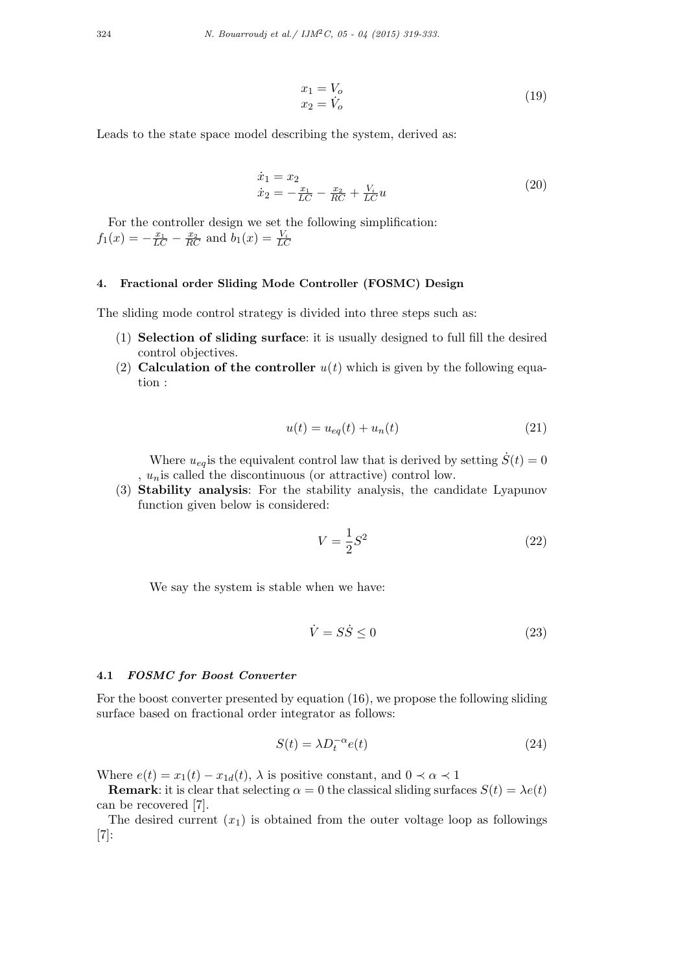$$
x_1 = V_o
$$
  
\n
$$
x_2 = V_o
$$
\n(19)

Leads to the state space model describing the system, derived as:

$$
\begin{aligned}\n\dot{x}_1 &= x_2\\ \n\dot{x}_2 &= -\frac{x_1}{LC} - \frac{x_2}{RC} + \frac{V_i}{LC}u\n\end{aligned} \tag{20}
$$

For the controller design we set the following simplification:  $f_1(x) = -\frac{x_1}{LC} - \frac{x_2}{RC}$  and  $b_1(x) = \frac{V_i}{LC}$ 

# **4. Fractional order Sliding Mode Controller (FOSMC) Design**

The sliding mode control strategy is divided into three steps such as:

- (1) **Selection of sliding surface**: it is usually designed to full fill the desired control objectives.
- (2) **Calculation of the controller**  $u(t)$  which is given by the following equation :

$$
u(t) = u_{eq}(t) + u_n(t)
$$
\n<sup>(21)</sup>

Where  $u_{eq}$  is the equivalent control law that is derived by setting  $\dot{S}(t) = 0$ , *un*is called the discontinuous (or attractive) control low.

(3) **Stability analysis**: For the stability analysis, the candidate Lyapunov function given below is considered:

$$
V = \frac{1}{2}S^2\tag{22}
$$

We say the system is stable when we have:

$$
\dot{V} = S\dot{S} \le 0\tag{23}
$$

# **4.1** *FOSMC for Boost Converter*

For the boost converter presented by equation (16), we propose the following sliding surface based on fractional order integrator as follows:

$$
S(t) = \lambda D_t^{-\alpha} e(t)
$$
\n(24)

Where  $e(t) = x_1(t) - x_{1d}(t)$ ,  $\lambda$  is positive constant, and  $0 \prec \alpha \prec 1$ 

**Remark**: it is clear that selecting  $\alpha = 0$  the classical sliding surfaces  $S(t) = \lambda e(t)$ can be recovered [7].

The desired current  $(x_1)$  is obtained from the outer voltage loop as followings [7]: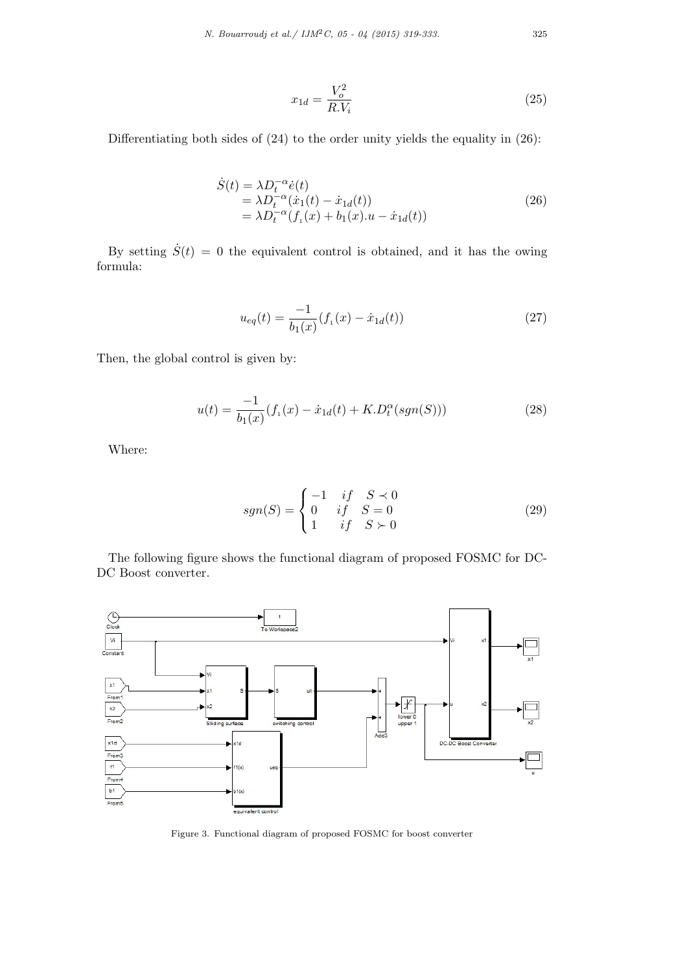$$
x_{1d} = \frac{V_o^2}{R.V_i}
$$
\n
$$
\tag{25}
$$

Differentiating both sides of (24) to the order unity yields the equality in (26):

$$
\dot{S}(t) = \lambda D_t^{-\alpha} \dot{e}(t) \n= \lambda D_t^{-\alpha} (\dot{x}_1(t) - \dot{x}_{1d}(t)) \n= \lambda D_t^{-\alpha} (f_1(x) + b_1(x).u - \dot{x}_{1d}(t))
$$
\n(26)

By setting  $\dot{S}(t) = 0$  the equivalent control is obtained, and it has the owing formula:

$$
u_{eq}(t) = \frac{-1}{b_1(x)} (f_1(x) - \dot{x}_{1d}(t))
$$
\n(27)

Then, the global control is given by:

$$
u(t) = \frac{-1}{b_1(x)} (f_1(x) - \dot{x}_{1d}(t) + K.D_t^{\alpha}(sgn(S)))
$$
\n(28)

Where:

$$
sgn(S) = \begin{cases} -1 & if & S \prec 0 \\ 0 & if & S = 0 \\ 1 & if & S \succ 0 \end{cases}
$$
 (29)

The following figure shows the functional diagram of proposed FOSMC for DC-DC Boost converter.



Figure 3. Functional diagram of proposed FOSMC for boost converter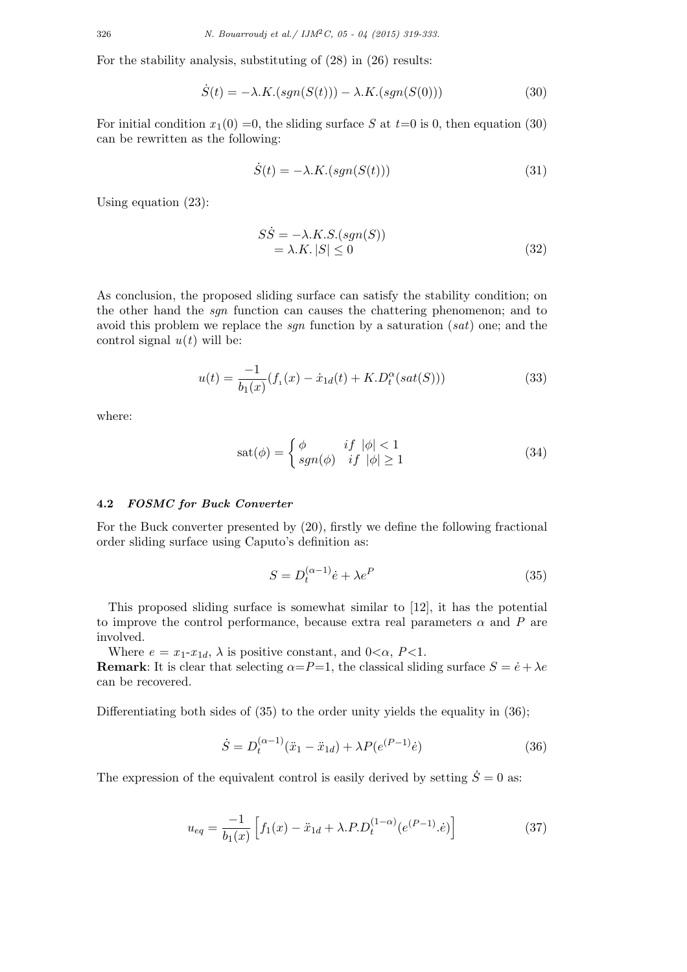For the stability analysis, substituting of (28) in (26) results:

$$
\dot{S}(t) = -\lambda \cdot K \cdot (sgn(S(t))) - \lambda \cdot K \cdot (sgn(S(0))) \tag{30}
$$

For initial condition  $x_1(0) = 0$ , the sliding surface *S* at  $t=0$  is 0, then equation (30) can be rewritten as the following:

$$
\dot{S}(t) = -\lambda \cdot K \cdot (sgn(S(t)))\tag{31}
$$

Using equation (23):

$$
S\dot{S} = -\lambda.K.S.(sgn(S))
$$
  
=  $\lambda.K.|S| \le 0$  (32)

As conclusion, the proposed sliding surface can satisfy the stability condition; on the other hand the *sgn* function can causes the chattering phenomenon; and to avoid this problem we replace the *sgn* function by a saturation (*sat*) one; and the control signal  $u(t)$  will be:

$$
u(t) = \frac{-1}{b_1(x)} (f_1(x) - \dot{x}_{1d}(t) + K.D_t^{\alpha}(sat(S)))
$$
\n(33)

where:

$$
sat(\phi) = \begin{cases} \phi & if \ |\phi| < 1\\ sgn(\phi) & if \ |\phi| \ge 1 \end{cases}
$$
 (34)

#### **4.2** *FOSMC for Buck Converter*

For the Buck converter presented by (20), firstly we define the following fractional order sliding surface using Caputo's definition as:

$$
S = D_t^{(\alpha - 1)} \dot{e} + \lambda e^P \tag{35}
$$

This proposed sliding surface is somewhat similar to [12], it has the potential to improve the control performance, because extra real parameters  $\alpha$  and  $P$  are involved.

Where  $e = x_1 - x_{1d}$ ,  $\lambda$  is positive constant, and  $0 < \alpha$ ,  $P < 1$ .

**Remark**: It is clear that selecting  $\alpha = P = 1$ , the classical sliding surface  $S = \dot{e} + \lambda e$ can be recovered.

Differentiating both sides of  $(35)$  to the order unity yields the equality in  $(36)$ ;

$$
\dot{S} = D_t^{(\alpha - 1)}(\ddot{x}_1 - \ddot{x}_{1d}) + \lambda P(e^{(P-1)}\dot{e})
$$
\n(36)

The expression of the equivalent control is easily derived by setting  $\dot{S} = 0$  as:

$$
u_{eq} = \frac{-1}{b_1(x)} \left[ f_1(x) - \ddot{x}_{1d} + \lambda P \cdot D_t^{(1-\alpha)} (e^{(P-1)} \cdot \dot{e}) \right]
$$
(37)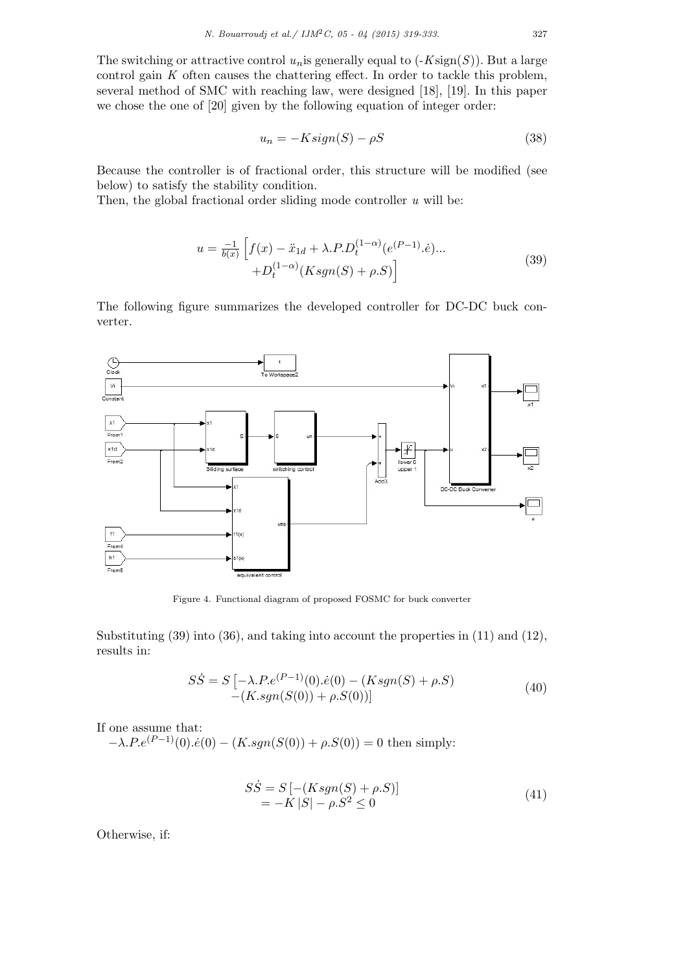The switching or attractive control  $u_n$  is generally equal to  $(-K\text{sign}(S))$ . But a large control gain *K* often causes the chattering effect. In order to tackle this problem, several method of SMC with reaching law, were designed [18], [19]. In this paper we chose the one of [20] given by the following equation of integer order:

$$
u_n = -Ksign(S) - \rho S \tag{38}
$$

Because the controller is of fractional order, this structure will be modified (see below) to satisfy the stability condition.

Then, the global fractional order sliding mode controller *u* will be:

$$
u = \frac{-1}{b(x)} \left[ f(x) - \ddot{x}_{1d} + \lambda.P.D_t^{(1-\alpha)}(e^{(P-1)}.\dot{e})...\n+ D_t^{(1-\alpha)}(Ksgn(S) + \rho.S) \right]
$$
\n(39)

The following figure summarizes the developed controller for DC-DC buck converter.



Figure 4. Functional diagram of proposed FOSMC for buck converter

Substituting (39) into (36), and taking into account the properties in (11) and (12), results in:

$$
S\dot{S} = S\left[-\lambda.P.e^{(P-1)}(0).\dot{e}(0) - (Ksgn(S) + \rho.S)\right] \tag{40}
$$
  
-(K.sgn(S(0)) + \rho.S(0))

If one assume that:

 $-\lambda \cdot Pe^{(P-1)}(0) \cdot \dot{e}(0) - (K \cdot sgn(S(0)) + \rho \cdot S(0)) = 0$  then simply:

$$
S\dot{S} = S [-(Ksgn(S) + \rho.S)] = -K |S| - \rho.S^2 \le 0
$$
\n(41)

Otherwise, if: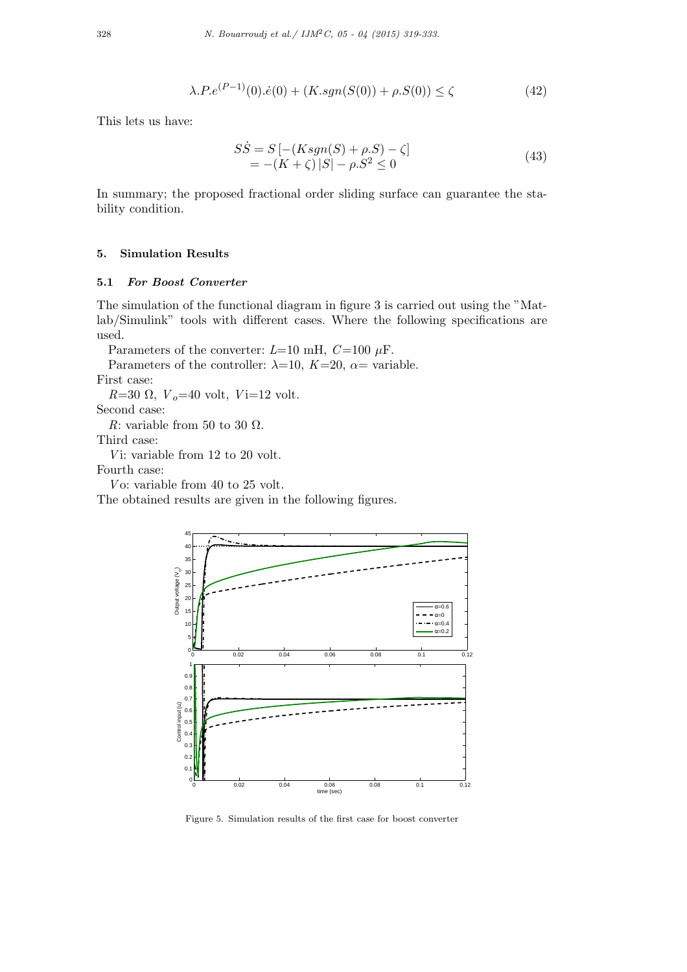$$
\lambda.P.e^{(P-1)}(0).e(0) + (K.sgn(S(0)) + \rho.S(0)) \le \zeta
$$
\n(42)

This lets us have:

$$
S\dot{S} = S [-(Ksgn(S) + \rho.S) - \zeta] = -(K + \zeta) |S| - \rho.S^2 \le 0
$$
\n(43)

In summary; the proposed fractional order sliding surface can guarantee the stability condition.

# **5. Simulation Results**

## **5.1** *For Boost Converter*

The simulation of the functional diagram in figure 3 is carried out using the "Matlab/Simulink" tools with different cases. Where the following specifications are used.

Parameters of the converter:  $L=10$  mH,  $C=100 \mu$ F.

Parameters of the controller:  $\lambda=10$ ,  $K=20$ ,  $\alpha=$  variable.

First case:

 $R=30 \Omega$ ,  $V_o=40$  volt,  $V_i=12$  volt.

Second case:

*R*: variable from 50 to 30  $\Omega$ .

Third case:

*V* i: variable from 12 to 20 volt.

Fourth case:

*V* o: variable from 40 to 25 volt.

The obtained results are given in the following figures.



Figure 5. Simulation results of the first case for boost converter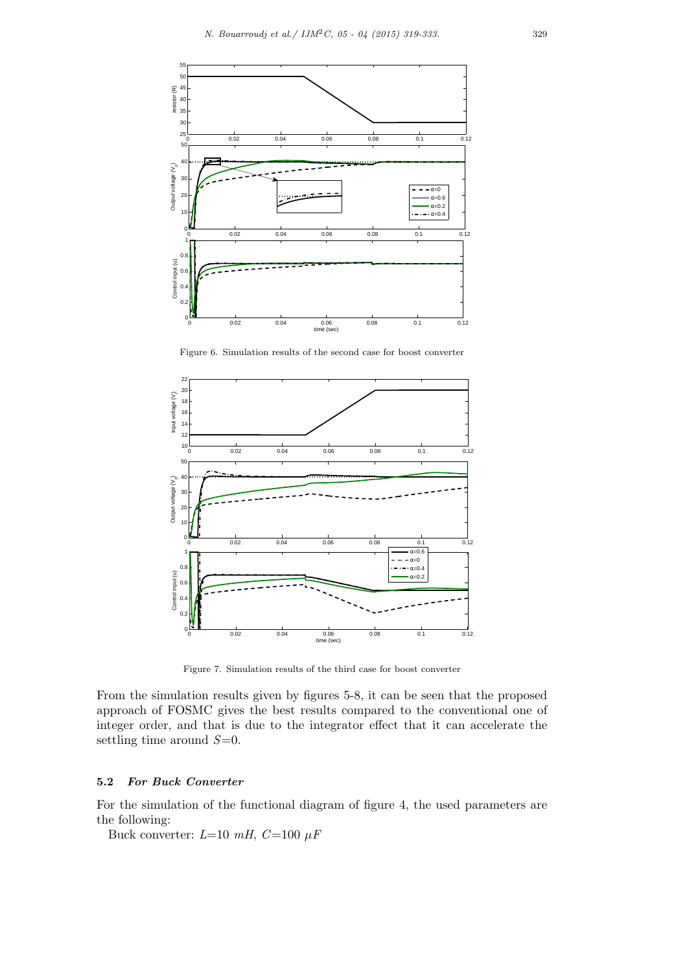

Figure 6. Simulation results of the second case for boost converter



Figure 7. Simulation results of the third case for boost converter

From the simulation results given by figures 5-8, it can be seen that the proposed approach of FOSMC gives the best results compared to the conventional one of integer order, and that is due to the integrator effect that it can accelerate the settling time around *S*=0.

# **5.2** *For Buck Converter*

For the simulation of the functional diagram of figure 4, the used parameters are the following:

Buck converter:  $L=10$   $mH$ ,  $C=100 \mu F$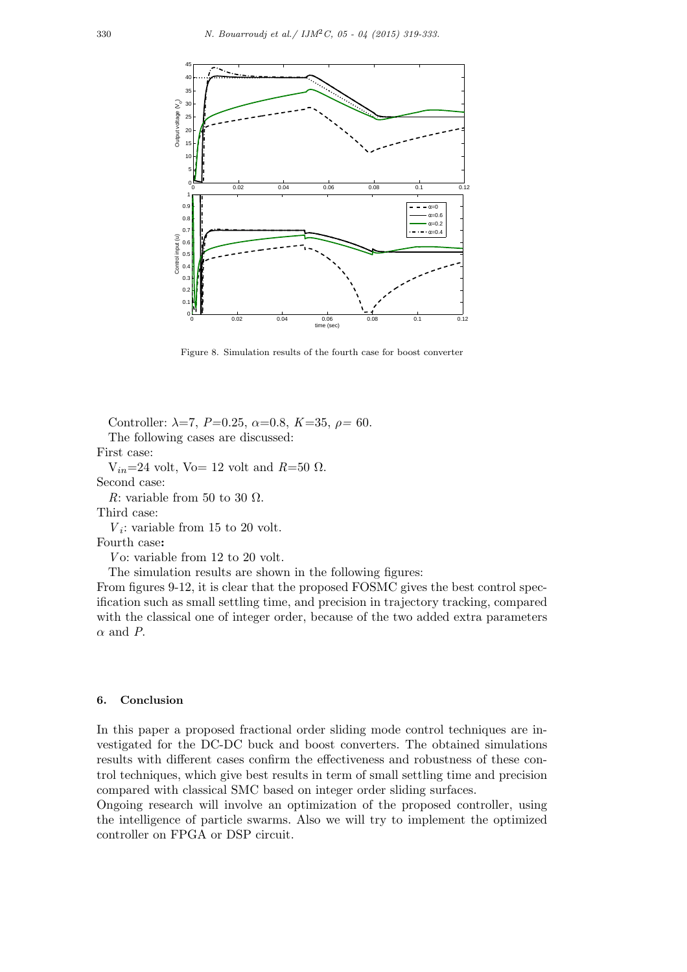

Figure 8. Simulation results of the fourth case for boost converter

Controller:  $\lambda = 7$ ,  $P=0.25$ ,  $\alpha = 0.8$ ,  $K=35$ ,  $\rho = 60$ .

The following cases are discussed:

First case:

 $V_{in}=24$  volt, Vo= 12 volt and  $R=50 \Omega$ . Second case:

*R*: variable from 50 to 30  $\Omega$ .

Third case:

 $V_i$ : variable from 15 to 20 volt.

Fourth case**:**

*V* o: variable from 12 to 20 volt.

The simulation results are shown in the following figures:

From figures 9-12, it is clear that the proposed FOSMC gives the best control specification such as small settling time, and precision in trajectory tracking, compared with the classical one of integer order, because of the two added extra parameters *α* and *P*.

# **6. Conclusion**

In this paper a proposed fractional order sliding mode control techniques are investigated for the DC-DC buck and boost converters. The obtained simulations results with different cases confirm the effectiveness and robustness of these control techniques, which give best results in term of small settling time and precision compared with classical SMC based on integer order sliding surfaces.

Ongoing research will involve an optimization of the proposed controller, using the intelligence of particle swarms. Also we will try to implement the optimized controller on FPGA or DSP circuit.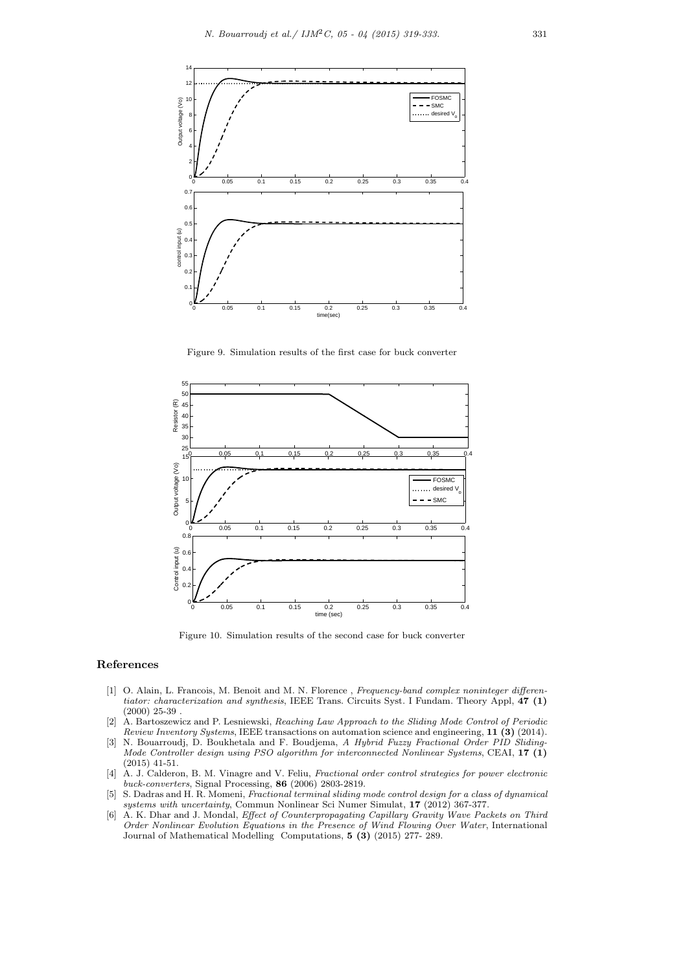

Figure 9. Simulation results of the first case for buck converter



Figure 10. Simulation results of the second case for buck converter

### **References**

- [1] O. Alain, L. Francois, M. Benoit and M. N. Florence , *Frequency-band complex noninteger differentiator: characterization and synthesis*, IEEE Trans. Circuits Syst. I Fundam. Theory Appl, **47 (1)** (2000) 25-39 .
- [2] A. Bartoszewicz and P. Lesniewski, *Reaching Law Approach to the Sliding Mode Control of Periodic Review Inventory Systems*, IEEE transactions on automation science and engineering, **11 (3)** (2014).
- [3] N. Bouarroudj, D. Boukhetala and F. Boudjema, *A Hybrid Fuzzy Fractional Order PID Sliding-Mode Controller design using PSO algorithm for interconnected Nonlinear Systems*, CEAI, **17 (1)** (2015) 41-51.
- [4] A. J. Calderon, B. M. Vinagre and V. Feliu, *Fractional order control strategies for power electronic buck-converters*, Signal Processing, **86** (2006) 2803-2819.
- [5] S. Dadras and H. R. Momeni, *Fractional terminal sliding mode control design for a class of dynamical systems with uncertainty*, Commun Nonlinear Sci Numer Simulat, **17** (2012) 367-377.
- [6] A. K. Dhar and J. Mondal, *Effect of Counterpropagating Capillary Gravity Wave Packets on Third Order Nonlinear Evolution Equations in the Presence of Wind Flowing Over Water*, International Journal of Mathematical Modelling Computations, **5 (3)** (2015) 277- 289.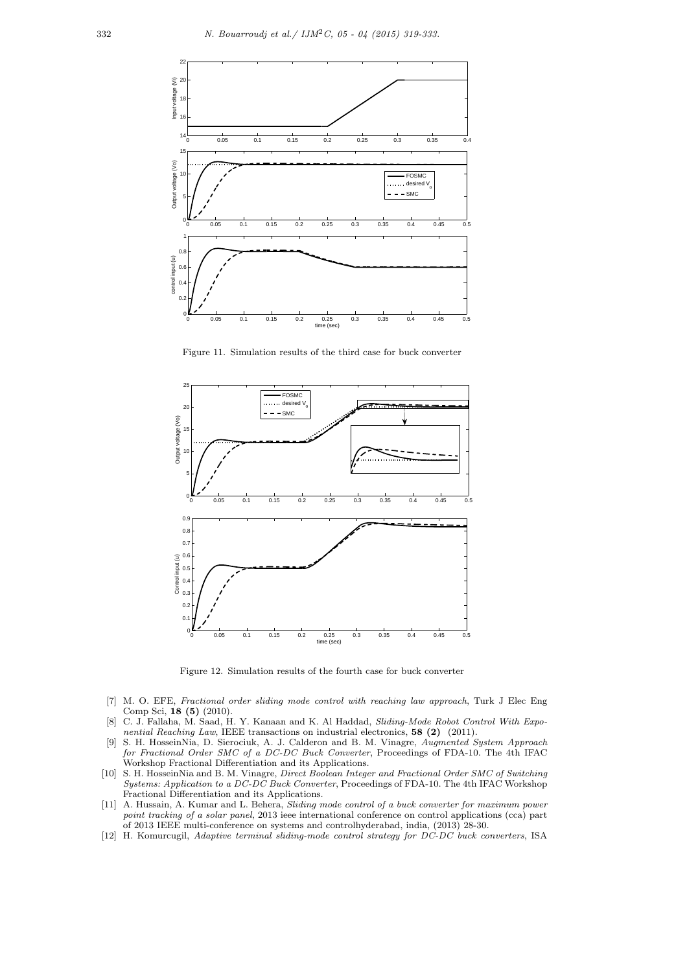

Figure 11. Simulation results of the third case for buck converter



Figure 12. Simulation results of the fourth case for buck converter

- [7] M. O. EFE, *Fractional order sliding mode control with reaching law approach*, Turk J Elec Eng Comp Sci, **18 (5)** (2010).
- [8] C. J. Fallaha, M. Saad, H. Y. Kanaan and K. Al Haddad, *Sliding-Mode Robot Control With Exponential Reaching Law*, IEEE transactions on industrial electronics, **58 (2)** (2011).
- [9] S. H. HosseinNia, D. Sierociuk, A. J. Calderon and B. M. Vinagre, *Augmented System Approach for Fractional Order SMC of a DC-DC Buck Converter*, Proceedings of FDA-10. The 4th IFAC Workshop Fractional Differentiation and its Applications.
- [10] S. H. HosseinNia and B. M. Vinagre, *Direct Boolean Integer and Fractional Order SMC of Switching Systems: Application to a DC-DC Buck Converter*, Proceedings of FDA-10. The 4th IFAC Workshop Fractional Differentiation and its Applications.
- [11] A. Hussain, A. Kumar and L. Behera, *Sliding mode control of a buck converter for maximum power point tracking of a solar panel*, 2013 ieee international conference on control applications (cca) part of 2013 IEEE multi-conference on systems and controlhyderabad, india, (2013) 28-30.
- [12] H. Komurcugil, *Adaptive terminal sliding-mode control strategy for DC-DC buck converters*, ISA